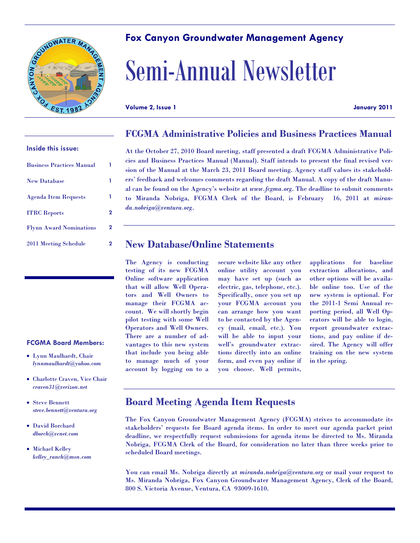

# **Fox Canyon Groundwater Management Agency**

# Semi-Annual Newsletter

**Volume 2, Issue 1 January 2011**

### **FCGMA Administrative Policies and Business Practices Manual**

| <b>Business Practices Manual</b> |   |
|----------------------------------|---|
| <b>New Database</b>              |   |
| <b>Agenda Item Requests</b>      |   |
| <b>ITRC</b> Reports              | 2 |
| <b>Flynn Award Nominations</b>   | 2 |
| 2011 Meeting Schedule            | 2 |

**Inside this issue:**

At the October 27, 2010 Board meeting, staff presented a draft FCGMA Administrative Policies and Business Practices Manual (Manual). Staff intends to present the final revised version of the Manual at the March 23, 2011 Board meeting. Agency staff values its stakeholders' feedback and welcomes comments regarding the draft Manual. A copy of the draft Manual can be found on the Agency's website at *www.fcgma.org*. The deadline to submit comments to Miranda Nobriga, FCGMA Clerk of the Board, is February 16, 2011 at *miranda.nobriga@ventura.org*.

# **New Database/Online Statements**

The Agency is conducting testing of its new FCGMA Online software application that will allow Well Operators and Well Owners to manage their FCGMA account. We will shortly begin pilot testing with some Well Operators and Well Owners. There are a number of advantages to this new system that include you being able to manage much of your account by logging on to a

secure website like any other online utility account you may have set up (such as electric, gas, telephone, etc.). Specifically, once you set up your FCGMA account you can arrange how you want to be contacted by the Agency (mail, email, etc.). You will be able to input your well's groundwater extractions directly into an online form, and even pay online if you choose. Well permits,

applications for baseline extraction allocations, and other options will be available online too. Use of the new system is optional. For the 2011-1 Semi Annual reporting period, all Well Operators will be able to login, report groundwater extractions, and pay online if desired. The Agency will offer training on the new system in the spring.

#### **FCGMA Board Members:**

- Lynn Maulhardt, Chair *lynnmaulhardt@yahoo.com*
- Charlotte Craven, Vice Chair *craven31@verizon.net*
- Steve Bennett *steve.bennett@ventura.org*
- David Borchard *dborch@vcnet.com*
- Michael Kelley *kelley\_ranch@msn.com*

**Board Meeting Agenda Item Requests**

The Fox Canyon Groundwater Management Agency (FCGMA) strives to accommodate its stakeholders' requests for Board agenda items. In order to meet our agenda packet print deadline, we respectfully request submissions for agenda items be directed to Ms. Miranda Nobriga, FCGMA Clerk of the Board, for consideration no later than three weeks prior to scheduled Board meetings.

You can email Ms. Nobriga directly at *miranda.nobriga@ventura.org* or mail your request to Ms. Miranda Nobriga, Fox Canyon Groundwater Management Agency, Clerk of the Board, 800 S. Victoria Avenue, Ventura, CA 93009-1610.